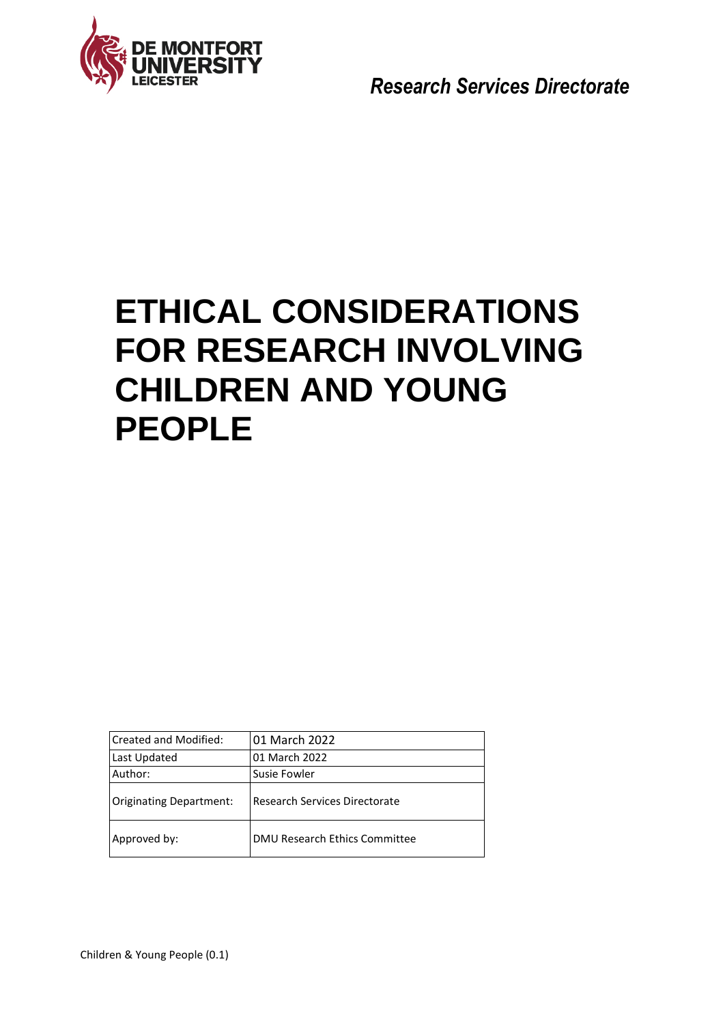

*Research Services Directorate*

# **ETHICAL CONSIDERATIONS FOR RESEARCH INVOLVING CHILDREN AND YOUNG PEOPLE**

| <b>Created and Modified:</b>   | 01 March 2022                 |  |
|--------------------------------|-------------------------------|--|
| Last Updated                   | 01 March 2022                 |  |
| Author:                        | Susie Fowler                  |  |
| <b>Originating Department:</b> | Research Services Directorate |  |
| Approved by:                   | DMU Research Ethics Committee |  |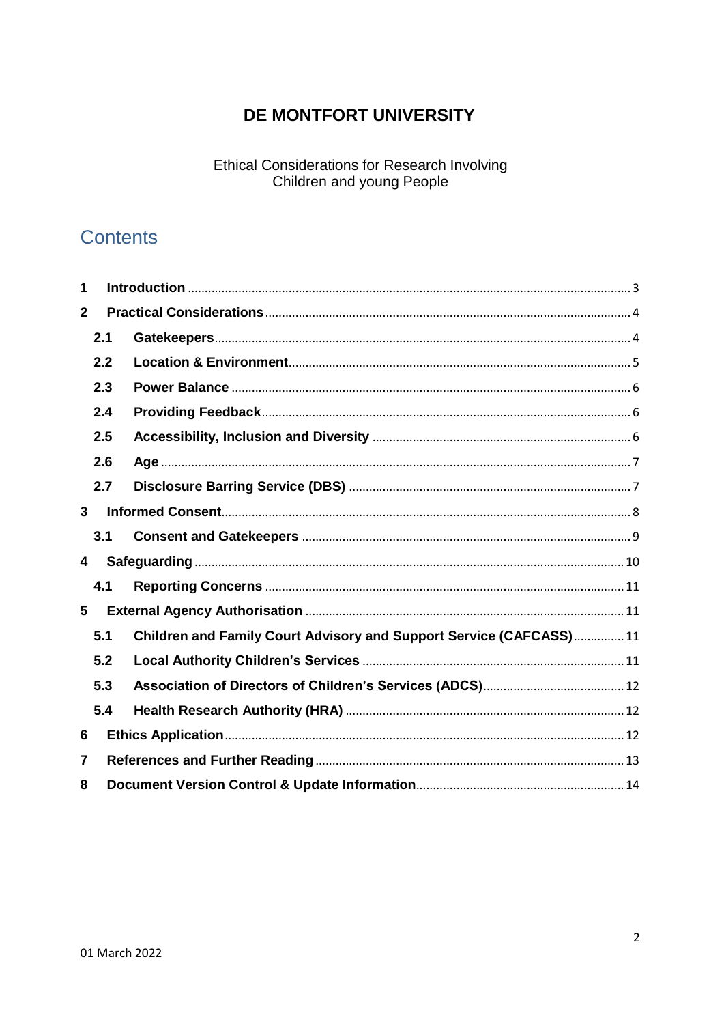# DE MONTFORT UNIVERSITY

**Ethical Considerations for Research Involving** Children and young People

# **Contents**

| 1              |     |                                                                    |  |  |
|----------------|-----|--------------------------------------------------------------------|--|--|
| $\overline{2}$ |     |                                                                    |  |  |
|                | 2.1 |                                                                    |  |  |
|                | 2.2 |                                                                    |  |  |
|                | 2.3 |                                                                    |  |  |
|                | 2.4 |                                                                    |  |  |
|                | 2.5 |                                                                    |  |  |
| 2.6            |     |                                                                    |  |  |
|                | 2.7 |                                                                    |  |  |
| 3              |     |                                                                    |  |  |
|                | 3.1 |                                                                    |  |  |
| 4              |     |                                                                    |  |  |
|                | 4.1 |                                                                    |  |  |
| 5              |     |                                                                    |  |  |
|                | 5.1 | Children and Family Court Advisory and Support Service (CAFCASS)11 |  |  |
|                | 5.2 |                                                                    |  |  |
|                | 5.3 |                                                                    |  |  |
|                | 5.4 |                                                                    |  |  |
| 6              |     |                                                                    |  |  |
| 7              |     |                                                                    |  |  |
| 8              |     |                                                                    |  |  |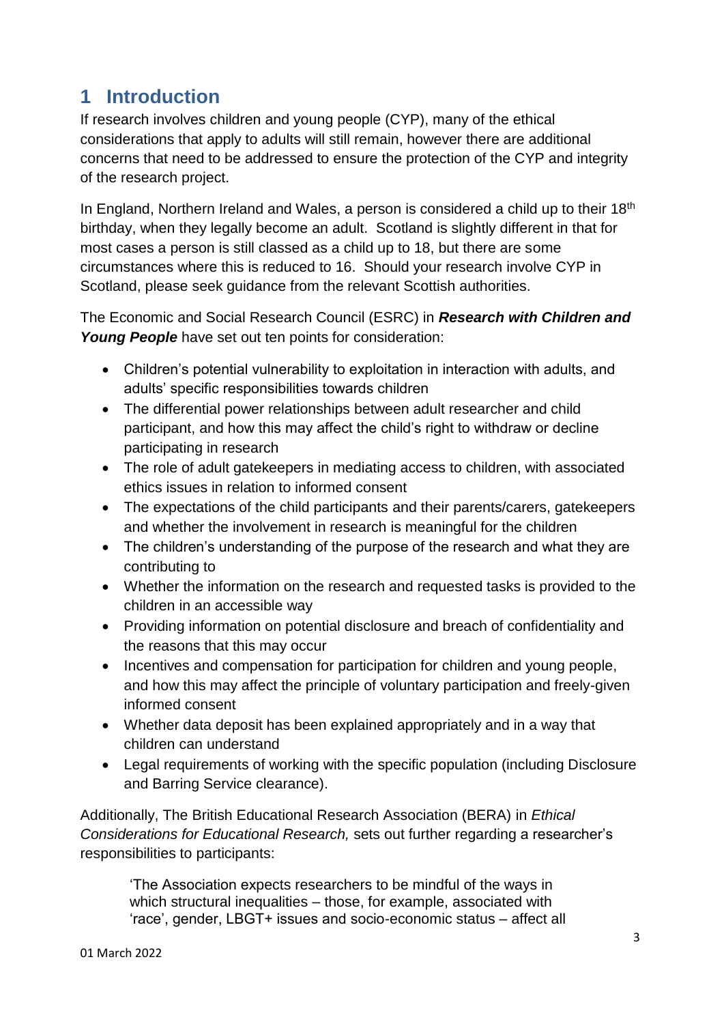# <span id="page-2-0"></span>**1 Introduction**

If research involves children and young people (CYP), many of the ethical considerations that apply to adults will still remain, however there are additional concerns that need to be addressed to ensure the protection of the CYP and integrity of the research project.

In England, Northern Ireland and Wales, a person is considered a child up to their  $18<sup>th</sup>$ birthday, when they legally become an adult. Scotland is slightly different in that for most cases a person is still classed as a child up to 18, but there are some circumstances where this is reduced to 16. Should your research involve CYP in Scotland, please seek guidance from the relevant Scottish authorities.

The Economic and Social Research Council (ESRC) in *Research with Children and Young People* have set out ten points for consideration:

- Children's potential vulnerability to exploitation in interaction with adults, and adults' specific responsibilities towards children
- The differential power relationships between adult researcher and child participant, and how this may affect the child's right to withdraw or decline participating in research
- The role of adult gatekeepers in mediating access to children, with associated ethics issues in relation to informed consent
- The expectations of the child participants and their parents/carers, gatekeepers and whether the involvement in research is meaningful for the children
- The children's understanding of the purpose of the research and what they are contributing to
- Whether the information on the research and requested tasks is provided to the children in an accessible way
- Providing information on potential disclosure and breach of confidentiality and the reasons that this may occur
- Incentives and compensation for participation for children and young people, and how this may affect the principle of voluntary participation and freely-given informed consent
- Whether data deposit has been explained appropriately and in a way that children can understand
- Legal requirements of working with the specific population (including Disclosure and Barring Service clearance).

Additionally, The British Educational Research Association (BERA) in *Ethical Considerations for Educational Research,* sets out further regarding a researcher's responsibilities to participants:

'The Association expects researchers to be mindful of the ways in which structural inequalities – those, for example, associated with 'race', gender, LBGT+ issues and socio-economic status – affect all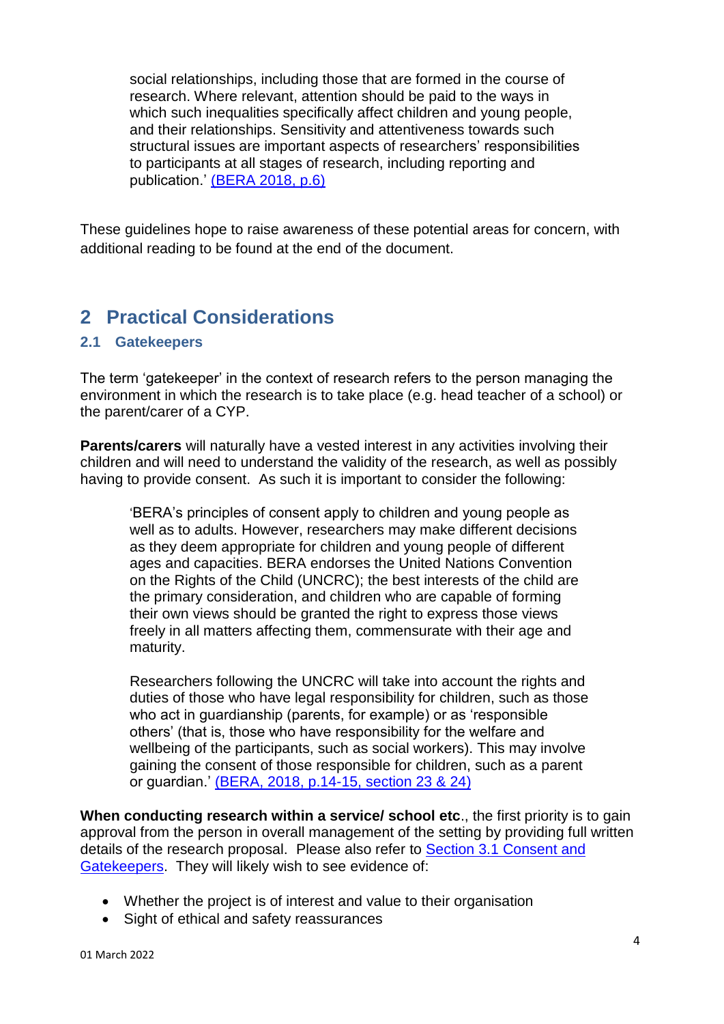social relationships, including those that are formed in the course of research. Where relevant, attention should be paid to the ways in which such inequalities specifically affect children and young people, and their relationships. Sensitivity and attentiveness towards such structural issues are important aspects of researchers' responsibilities to participants at all stages of research, including reporting and publication.' [\(BERA 2018, p.6\)](https://www.bera.ac.uk/publication/ethical-guidelines-for-educational-research-2018-online#participants)

These guidelines hope to raise awareness of these potential areas for concern, with additional reading to be found at the end of the document.

# <span id="page-3-0"></span>**2 Practical Considerations**

#### <span id="page-3-1"></span>**2.1 Gatekeepers**

The term 'gatekeeper' in the context of research refers to the person managing the environment in which the research is to take place (e.g. head teacher of a school) or the parent/carer of a CYP.

**Parents/carers** will naturally have a vested interest in any activities involving their children and will need to understand the validity of the research, as well as possibly having to provide consent. As such it is important to consider the following:

'BERA's principles of consent apply to children and young people as well as to adults. However, researchers may make different decisions as they deem appropriate for children and young people of different ages and capacities. BERA endorses the United Nations Convention on the Rights of the Child (UNCRC); the best interests of the child are the primary consideration, and children who are capable of forming their own views should be granted the right to express those views freely in all matters affecting them, commensurate with their age and maturity.

Researchers following the UNCRC will take into account the rights and duties of those who have legal responsibility for children, such as those who act in guardianship (parents, for example) or as 'responsible others' (that is, those who have responsibility for the welfare and wellbeing of the participants, such as social workers). This may involve gaining the consent of those responsible for children, such as a parent or guardian.' [\(BERA, 2018, p.14-15, section 23 & 24\)](https://www.bera.ac.uk/publication/ethical-guidelines-for-educational-research-2018-online#participants)

**When conducting research within a service/ school etc**., the first priority is to gain approval from the person in overall management of the setting by providing full written details of the research proposal. Please also refer to [Section 3.1 Consent and](#page-8-0)  [Gatekeepers.](#page-8-0) They will likely wish to see evidence of:

- Whether the project is of interest and value to their organisation
- Sight of ethical and safety reassurances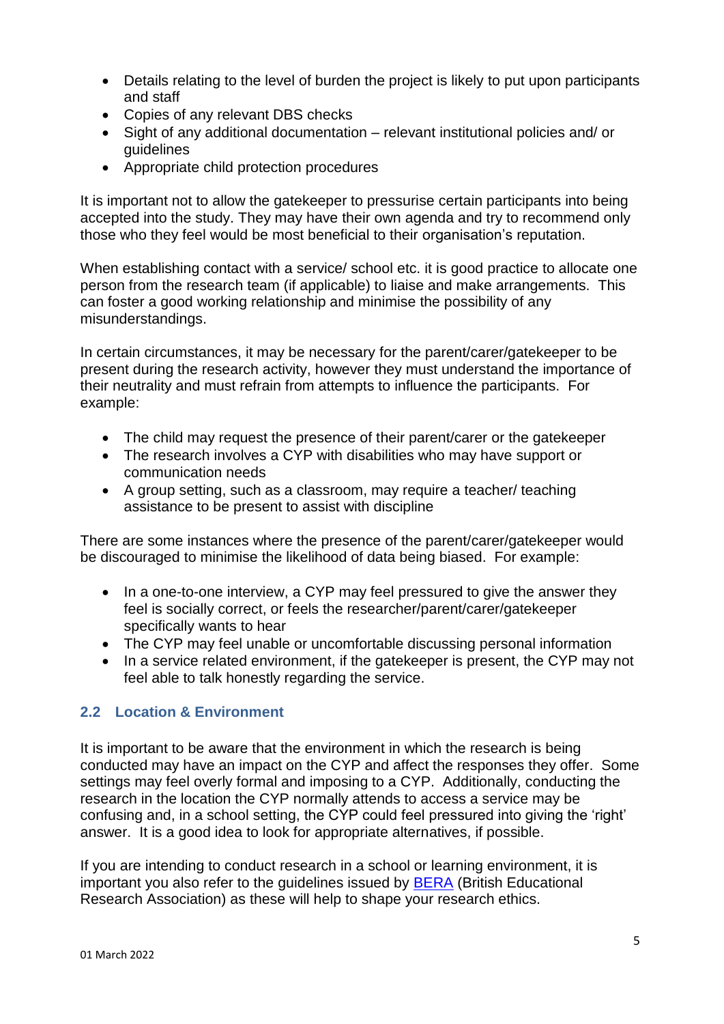- Details relating to the level of burden the project is likely to put upon participants and staff
- Copies of any relevant DBS checks
- Sight of any additional documentation relevant institutional policies and/ or guidelines
- Appropriate child protection procedures

It is important not to allow the gatekeeper to pressurise certain participants into being accepted into the study. They may have their own agenda and try to recommend only those who they feel would be most beneficial to their organisation's reputation.

When establishing contact with a service/ school etc. it is good practice to allocate one person from the research team (if applicable) to liaise and make arrangements. This can foster a good working relationship and minimise the possibility of any misunderstandings.

In certain circumstances, it may be necessary for the parent/carer/gatekeeper to be present during the research activity, however they must understand the importance of their neutrality and must refrain from attempts to influence the participants. For example:

- The child may request the presence of their parent/carer or the gatekeeper
- The research involves a CYP with disabilities who may have support or communication needs
- A group setting, such as a classroom, may require a teacher/ teaching assistance to be present to assist with discipline

There are some instances where the presence of the parent/carer/gatekeeper would be discouraged to minimise the likelihood of data being biased. For example:

- In a one-to-one interview, a CYP may feel pressured to give the answer they feel is socially correct, or feels the researcher/parent/carer/gatekeeper specifically wants to hear
- The CYP may feel unable or uncomfortable discussing personal information
- In a service related environment, if the gatekeeper is present, the CYP may not feel able to talk honestly regarding the service.

### <span id="page-4-0"></span>**2.2 Location & Environment**

It is important to be aware that the environment in which the research is being conducted may have an impact on the CYP and affect the responses they offer. Some settings may feel overly formal and imposing to a CYP. Additionally, conducting the research in the location the CYP normally attends to access a service may be confusing and, in a school setting, the CYP could feel pressured into giving the 'right' answer. It is a good idea to look for appropriate alternatives, if possible.

If you are intending to conduct research in a school or learning environment, it is important you also refer to the guidelines issued by [BERA](https://www.bera.ac.uk/resources/all-publications/resources-for-researchers) (British Educational Research Association) as these will help to shape your research ethics.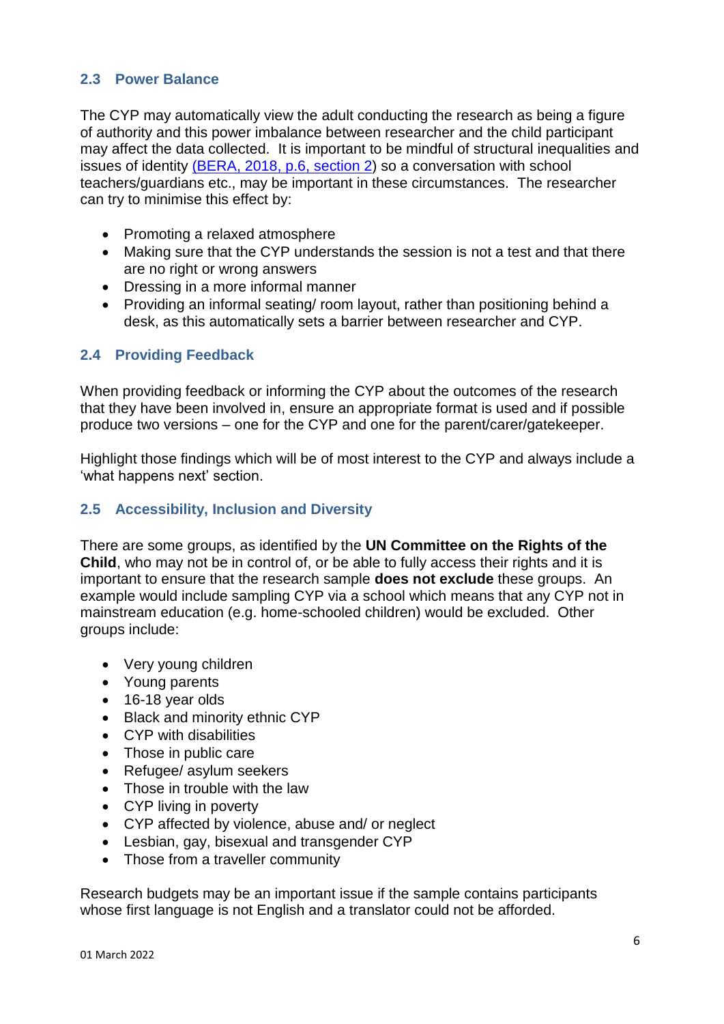#### <span id="page-5-0"></span>**2.3 Power Balance**

The CYP may automatically view the adult conducting the research as being a figure of authority and this power imbalance between researcher and the child participant may affect the data collected. It is important to be mindful of structural inequalities and issues of identity [\(BERA, 2018, p.6, section 2\)](https://www.bera.ac.uk/publication/ethical-guidelines-for-educational-research-2018-online#participants) so a conversation with school teachers/guardians etc., may be important in these circumstances. The researcher can try to minimise this effect by:

- Promoting a relaxed atmosphere
- Making sure that the CYP understands the session is not a test and that there are no right or wrong answers
- Dressing in a more informal manner
- Providing an informal seating/ room layout, rather than positioning behind a desk, as this automatically sets a barrier between researcher and CYP.

#### <span id="page-5-1"></span>**2.4 Providing Feedback**

When providing feedback or informing the CYP about the outcomes of the research that they have been involved in, ensure an appropriate format is used and if possible produce two versions – one for the CYP and one for the parent/carer/gatekeeper.

Highlight those findings which will be of most interest to the CYP and always include a 'what happens next' section.

#### <span id="page-5-2"></span>**2.5 Accessibility, Inclusion and Diversity**

There are some groups, as identified by the **UN Committee on the Rights of the Child**, who may not be in control of, or be able to fully access their rights and it is important to ensure that the research sample **does not exclude** these groups. An example would include sampling CYP via a school which means that any CYP not in mainstream education (e.g. home-schooled children) would be excluded. Other groups include:

- Very young children
- Young parents
- 16-18 year olds
- Black and minority ethnic CYP
- CYP with disabilities
- Those in public care
- Refugee/ asylum seekers
- Those in trouble with the law
- CYP living in poverty
- CYP affected by violence, abuse and/ or neglect
- Lesbian, gay, bisexual and transgender CYP
- Those from a traveller community

Research budgets may be an important issue if the sample contains participants whose first language is not English and a translator could not be afforded.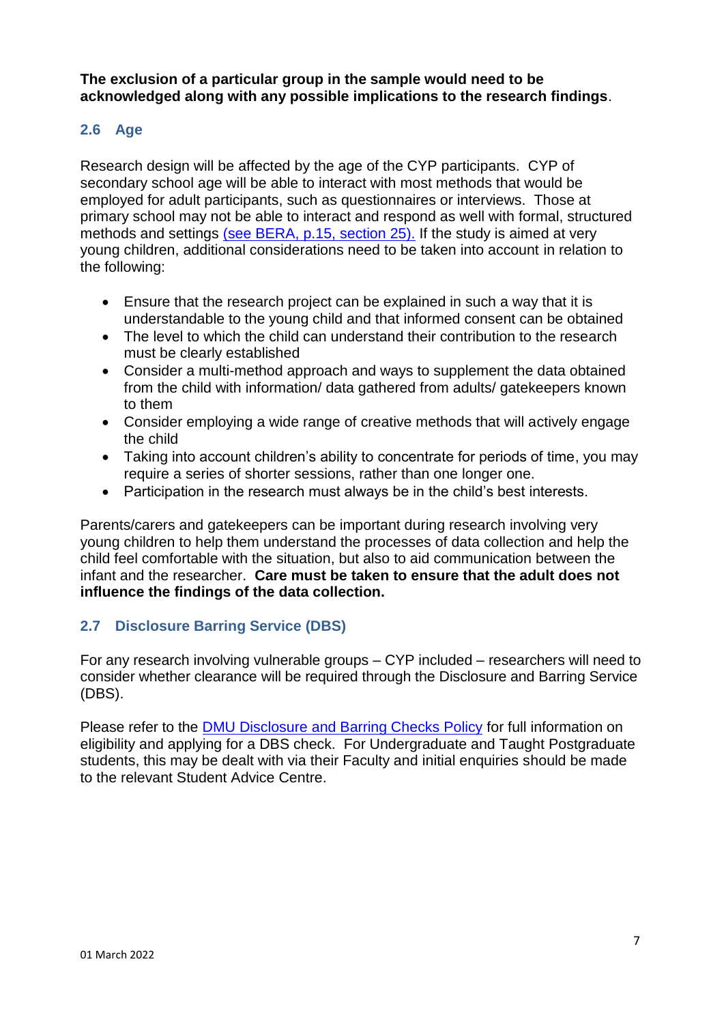**The exclusion of a particular group in the sample would need to be acknowledged along with any possible implications to the research findings**.

### <span id="page-6-0"></span>**2.6 Age**

Research design will be affected by the age of the CYP participants. CYP of secondary school age will be able to interact with most methods that would be employed for adult participants, such as questionnaires or interviews. Those at primary school may not be able to interact and respond as well with formal, structured methods and settings [\(see BERA, p.15, section](https://www.bera.ac.uk/publication/ethical-guidelines-for-educational-research-2018-online#participants) 25). If the study is aimed at very young children, additional considerations need to be taken into account in relation to the following:

- Ensure that the research project can be explained in such a way that it is understandable to the young child and that informed consent can be obtained
- The level to which the child can understand their contribution to the research must be clearly established
- Consider a multi-method approach and ways to supplement the data obtained from the child with information/ data gathered from adults/ gatekeepers known to them
- Consider employing a wide range of creative methods that will actively engage the child
- Taking into account children's ability to concentrate for periods of time, you may require a series of shorter sessions, rather than one longer one.
- Participation in the research must always be in the child's best interests.

Parents/carers and gatekeepers can be important during research involving very young children to help them understand the processes of data collection and help the child feel comfortable with the situation, but also to aid communication between the infant and the researcher. **Care must be taken to ensure that the adult does not influence the findings of the data collection.**

### <span id="page-6-1"></span>**2.7 Disclosure Barring Service (DBS)**

For any research involving vulnerable groups – CYP included – researchers will need to consider whether clearance will be required through the Disclosure and Barring Service (DBS).

Please refer to the [DMU Disclosure and Barring Checks Policy](https://demontfortuniversity.sharepoint.com/sites/DMUHome/org/POD/HR/Documents/Disclosure%20and%20Barring%20Service%20(DBS)%20Guidelines%20for%20Managers%20and%20Employees.pdf) for full information on eligibility and applying for a DBS check. For Undergraduate and Taught Postgraduate students, this may be dealt with via their Faculty and initial enquiries should be made to the relevant Student Advice Centre.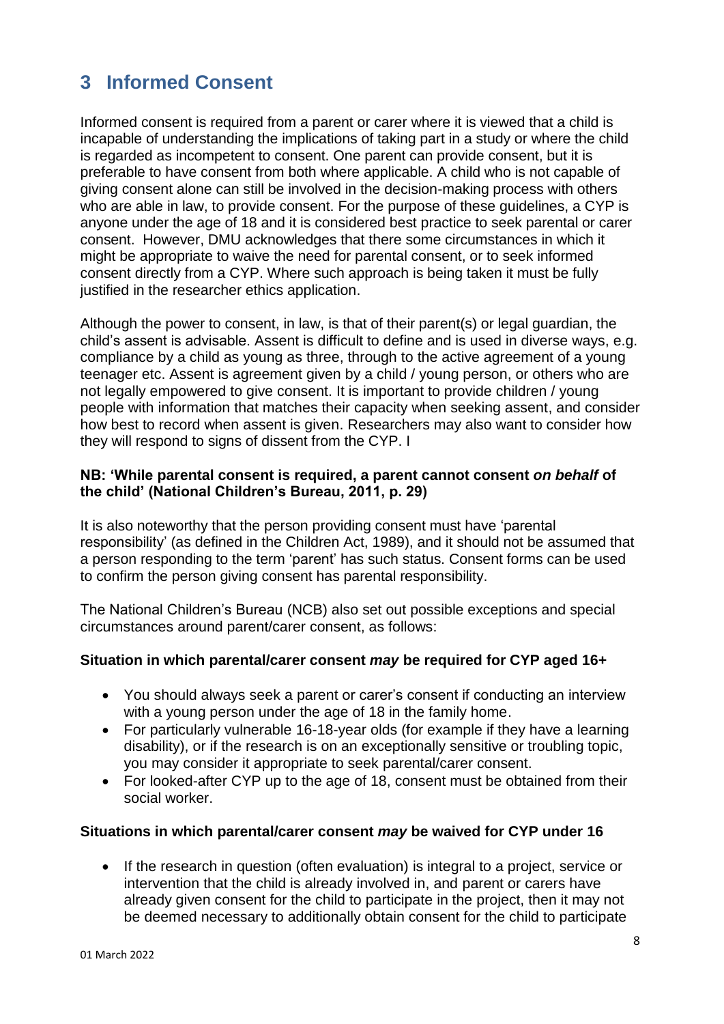# <span id="page-7-0"></span>**3 Informed Consent**

Informed consent is required from a parent or carer where it is viewed that a child is incapable of understanding the implications of taking part in a study or where the child is regarded as incompetent to consent. One parent can provide consent, but it is preferable to have consent from both where applicable. A child who is not capable of giving consent alone can still be involved in the decision-making process with others who are able in law, to provide consent. For the purpose of these guidelines, a CYP is anyone under the age of 18 and it is considered best practice to seek parental or carer consent. However, DMU acknowledges that there some circumstances in which it might be appropriate to waive the need for parental consent, or to seek informed consent directly from a CYP. Where such approach is being taken it must be fully justified in the researcher ethics application.

Although the power to consent, in law, is that of their parent(s) or legal guardian, the child's assent is advisable. Assent is difficult to define and is used in diverse ways, e.g. compliance by a child as young as three, through to the active agreement of a young teenager etc. Assent is agreement given by a child / young person, or others who are not legally empowered to give consent. It is important to provide children / young people with information that matches their capacity when seeking assent, and consider how best to record when assent is given. Researchers may also want to consider how they will respond to signs of dissent from the CYP. I

#### **NB: 'While parental consent is required, a parent cannot consent** *on behalf* **of the child' (National Children's Bureau, 2011, p. 29)**

It is also noteworthy that the person providing consent must have 'parental responsibility' (as defined in the Children Act, 1989), and it should not be assumed that a person responding to the term 'parent' has such status. Consent forms can be used to confirm the person giving consent has parental responsibility.

The National Children's Bureau (NCB) also set out possible exceptions and special circumstances around parent/carer consent, as follows:

#### **Situation in which parental/carer consent** *may* **be required for CYP aged 16+**

- You should always seek a parent or carer's consent if conducting an interview with a young person under the age of 18 in the family home.
- For particularly vulnerable 16-18-year olds (for example if they have a learning disability), or if the research is on an exceptionally sensitive or troubling topic, you may consider it appropriate to seek parental/carer consent.
- For looked-after CYP up to the age of 18, consent must be obtained from their social worker.

#### **Situations in which parental/carer consent** *may* **be waived for CYP under 16**

• If the research in question (often evaluation) is integral to a project, service or intervention that the child is already involved in, and parent or carers have already given consent for the child to participate in the project, then it may not be deemed necessary to additionally obtain consent for the child to participate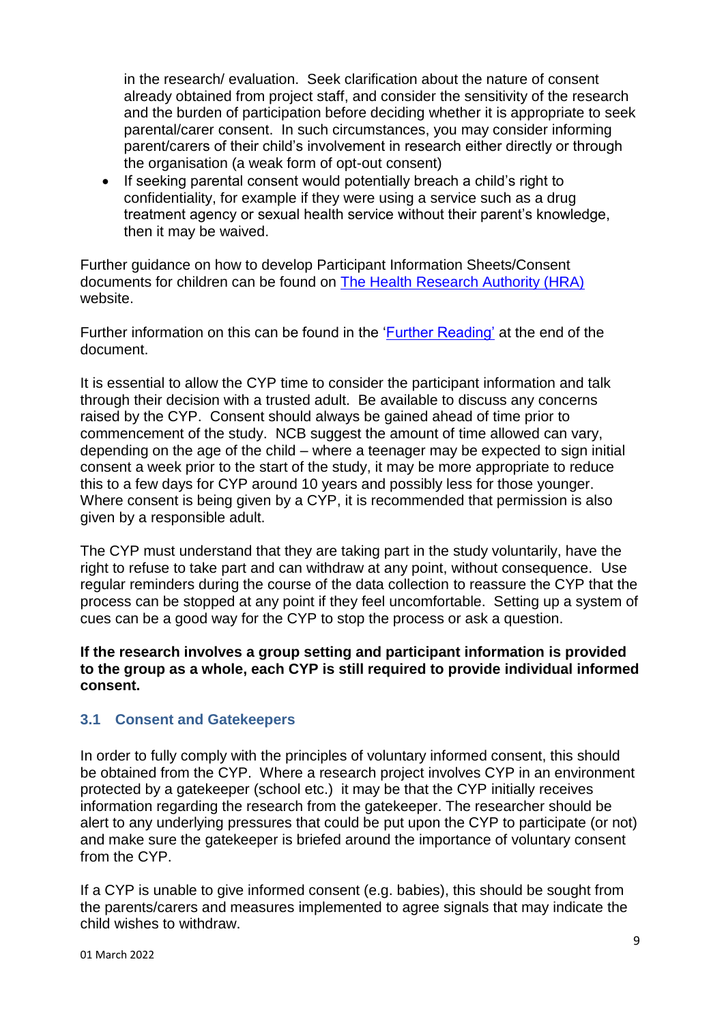in the research/ evaluation. Seek clarification about the nature of consent already obtained from project staff, and consider the sensitivity of the research and the burden of participation before deciding whether it is appropriate to seek parental/carer consent. In such circumstances, you may consider informing parent/carers of their child's involvement in research either directly or through the organisation (a weak form of opt-out consent)

• If seeking parental consent would potentially breach a child's right to confidentiality, for example if they were using a service such as a drug treatment agency or sexual health service without their parent's knowledge, then it may be waived.

Further guidance on how to develop Participant Information Sheets/Consent documents for children can be found on [The Health Research Authority \(HRA\)](http://www.hra-decisiontools.org.uk/consent/index.html) website.

Further information on this can be found in the ['Further Reading'](#page-12-0) at the end of the document.

It is essential to allow the CYP time to consider the participant information and talk through their decision with a trusted adult. Be available to discuss any concerns raised by the CYP. Consent should always be gained ahead of time prior to commencement of the study. NCB suggest the amount of time allowed can vary, depending on the age of the child – where a teenager may be expected to sign initial consent a week prior to the start of the study, it may be more appropriate to reduce this to a few days for CYP around 10 years and possibly less for those younger. Where consent is being given by a CYP, it is recommended that permission is also given by a responsible adult.

The CYP must understand that they are taking part in the study voluntarily, have the right to refuse to take part and can withdraw at any point, without consequence. Use regular reminders during the course of the data collection to reassure the CYP that the process can be stopped at any point if they feel uncomfortable. Setting up a system of cues can be a good way for the CYP to stop the process or ask a question.

#### **If the research involves a group setting and participant information is provided to the group as a whole, each CYP is still required to provide individual informed consent.**

#### <span id="page-8-0"></span>**3.1 Consent and Gatekeepers**

In order to fully comply with the principles of voluntary informed consent, this should be obtained from the CYP. Where a research project involves CYP in an environment protected by a gatekeeper (school etc.) it may be that the CYP initially receives information regarding the research from the gatekeeper. The researcher should be alert to any underlying pressures that could be put upon the CYP to participate (or not) and make sure the gatekeeper is briefed around the importance of voluntary consent from the CYP.

If a CYP is unable to give informed consent (e.g. babies), this should be sought from the parents/carers and measures implemented to agree signals that may indicate the child wishes to withdraw.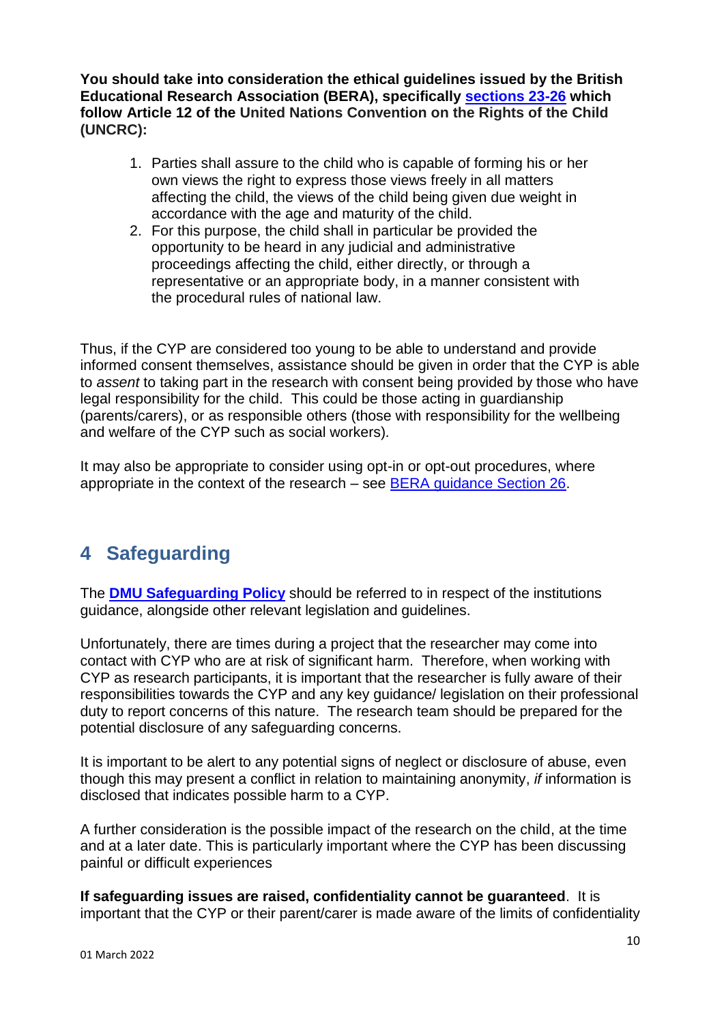**You should take into consideration the ethical guidelines issued by the British Educational Research Association (BERA), specifically [sections 23-26](https://www.bera.ac.uk/publication/ethical-guidelines-for-educational-research-2018-online#participants) which follow Article 12 of the United Nations Convention on the Rights of the Child (UNCRC):**

- 1. Parties shall assure to the child who is capable of forming his or her own views the right to express those views freely in all matters affecting the child, the views of the child being given due weight in accordance with the age and maturity of the child.
- 2. For this purpose, the child shall in particular be provided the opportunity to be heard in any judicial and administrative proceedings affecting the child, either directly, or through a representative or an appropriate body, in a manner consistent with the procedural rules of national law.

Thus, if the CYP are considered too young to be able to understand and provide informed consent themselves, assistance should be given in order that the CYP is able to *assent* to taking part in the research with consent being provided by those who have legal responsibility for the child. This could be those acting in guardianship (parents/carers), or as responsible others (those with responsibility for the wellbeing and welfare of the CYP such as social workers)*.*

It may also be appropriate to consider using opt-in or opt-out procedures, where appropriate in the context of the research – see [BERA guidance Section 26.](https://www.bera.ac.uk/publication/ethical-guidelines-for-educational-research-2018-online#participants)

# <span id="page-9-0"></span>**4 Safeguarding**

The **[DMU Safeguarding Policy](https://www.dmu.ac.uk/DMU-staff/People-and-Organisational-Development/Safeguarding/Policy-and-Procedure.aspx)** should be referred to in respect of the institutions guidance, alongside other relevant legislation and guidelines.

Unfortunately, there are times during a project that the researcher may come into contact with CYP who are at risk of significant harm. Therefore, when working with CYP as research participants, it is important that the researcher is fully aware of their responsibilities towards the CYP and any key guidance/ legislation on their professional duty to report concerns of this nature. The research team should be prepared for the potential disclosure of any safeguarding concerns.

It is important to be alert to any potential signs of neglect or disclosure of abuse, even though this may present a conflict in relation to maintaining anonymity, *if* information is disclosed that indicates possible harm to a CYP.

A further consideration is the possible impact of the research on the child, at the time and at a later date. This is particularly important where the CYP has been discussing painful or difficult experiences

**If safeguarding issues are raised, confidentiality cannot be guaranteed**. It is important that the CYP or their parent/carer is made aware of the limits of confidentiality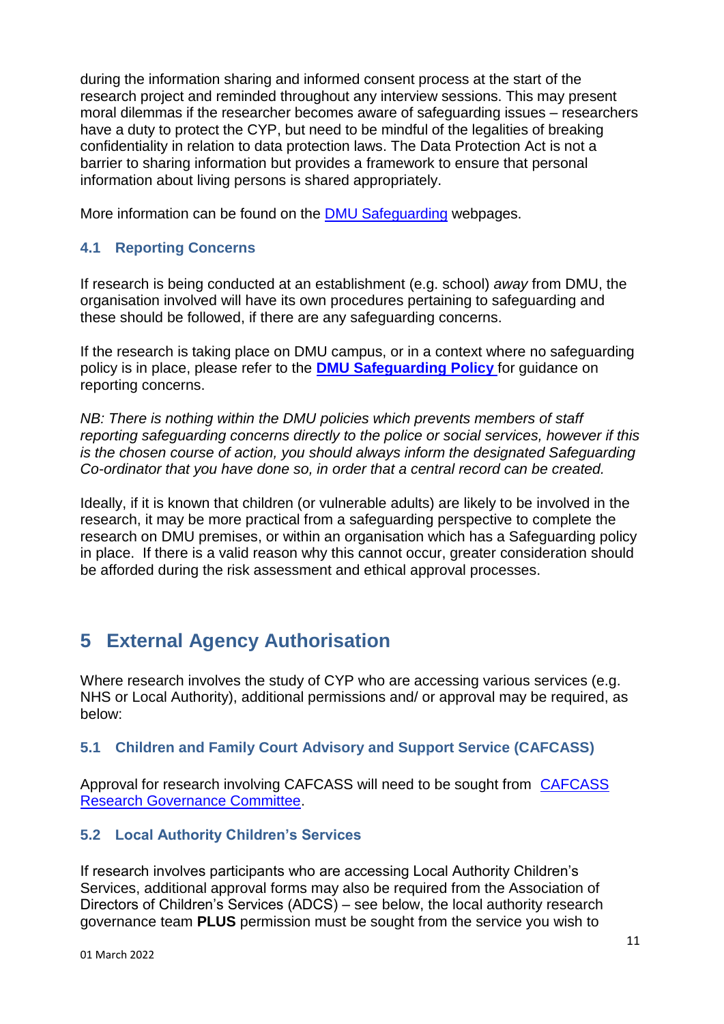during the information sharing and informed consent process at the start of the research project and reminded throughout any interview sessions. This may present moral dilemmas if the researcher becomes aware of safeguarding issues – researchers have a duty to protect the CYP, but need to be mindful of the legalities of breaking confidentiality in relation to data protection laws. The Data Protection Act is not a barrier to sharing information but provides a framework to ensure that personal information about living persons is shared appropriately.

More information can be found on the [DMU Safeguarding](https://www.dmu.ac.uk/dmu-staff/people-and-organisational-development/safeguarding/safeguarding.aspx) webpages.

### <span id="page-10-0"></span>**4.1 Reporting Concerns**

If research is being conducted at an establishment (e.g. school) *away* from DMU, the organisation involved will have its own procedures pertaining to safeguarding and these should be followed, if there are any safeguarding concerns.

If the research is taking place on DMU campus, or in a context where no safeguarding policy is in place, please refer to the **[DMU Safeguarding Policy](https://www.dmu.ac.uk/DMU-staff/People-and-Organisational-Development/Safeguarding/Policy-and-Procedure.aspx)** for guidance on reporting concerns.

*NB: There is nothing within the DMU policies which prevents members of staff reporting safeguarding concerns directly to the police or social services, however if this is the chosen course of action, you should always inform the designated Safeguarding Co-ordinator that you have done so, in order that a central record can be created.*

Ideally, if it is known that children (or vulnerable adults) are likely to be involved in the research, it may be more practical from a safeguarding perspective to complete the research on DMU premises, or within an organisation which has a Safeguarding policy in place. If there is a valid reason why this cannot occur, greater consideration should be afforded during the risk assessment and ethical approval processes.

# <span id="page-10-1"></span>**5 External Agency Authorisation**

Where research involves the study of CYP who are accessing various services (e.g. NHS or Local Authority), additional permissions and/ or approval may be required, as below:

### <span id="page-10-2"></span>**5.1 Children and Family Court Advisory and Support Service (CAFCASS)**

Approval for research involving CAFCASS will need to be sought from [CAFCASS](https://www.cafcass.gov.uk/about-cafcass/research-and-data/)  [Research Governance Committee.](https://www.cafcass.gov.uk/about-cafcass/research-and-data/)

### <span id="page-10-3"></span>**5.2 Local Authority Children's Services**

If research involves participants who are accessing Local Authority Children's Services, additional approval forms may also be required from the Association of Directors of Children's Services (ADCS) – see below, the local authority research governance team **PLUS** permission must be sought from the service you wish to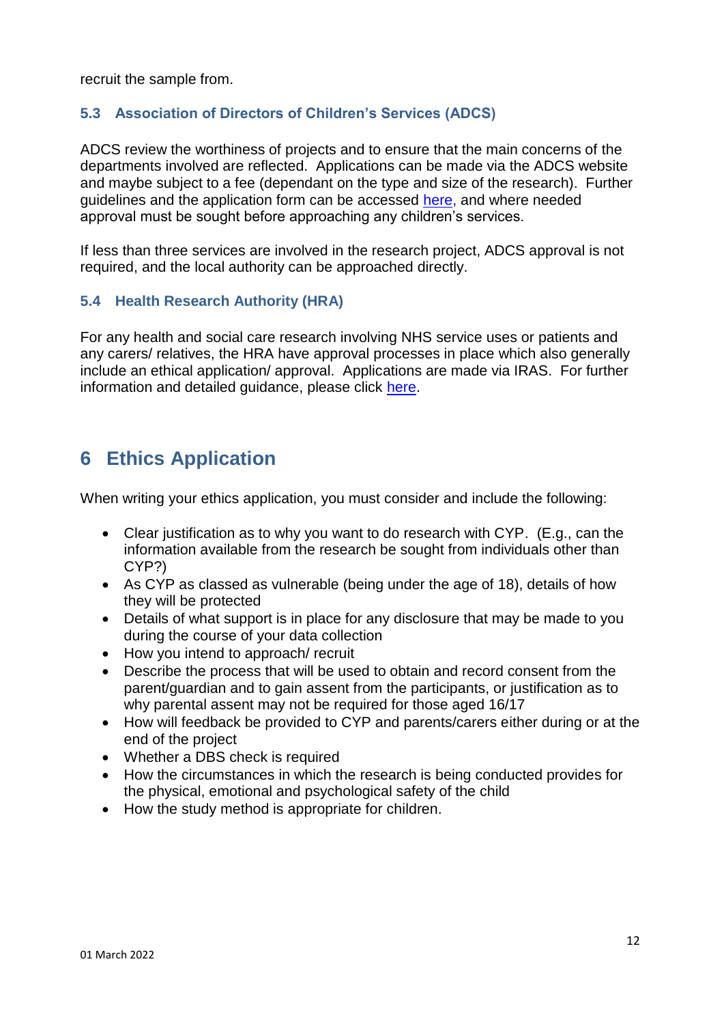recruit the sample from.

### <span id="page-11-0"></span>**5.3 Association of Directors of Children's Services (ADCS)**

ADCS review the worthiness of projects and to ensure that the main concerns of the departments involved are reflected. Applications can be made via the ADCS website and maybe subject to a fee (dependant on the type and size of the research). Further guidelines and the application form can be accessed [here,](https://adcs.org.uk/general/research) and where needed approval must be sought before approaching any children's services.

If less than three services are involved in the research project, ADCS approval is not required, and the local authority can be approached directly.

### <span id="page-11-1"></span>**5.4 Health Research Authority (HRA)**

For any health and social care research involving NHS service uses or patients and any carers/ relatives, the HRA have approval processes in place which also generally include an ethical application/ approval. Applications are made via IRAS. For further information and detailed guidance, please click [here.](https://www.hra.nhs.uk/planning-and-improving-research/policies-standards-legislation/research-involving-children/)

# <span id="page-11-2"></span>**6 Ethics Application**

When writing your ethics application, you must consider and include the following:

- Clear justification as to why you want to do research with CYP. (E.g., can the information available from the research be sought from individuals other than CYP?)
- As CYP as classed as vulnerable (being under the age of 18), details of how they will be protected
- Details of what support is in place for any disclosure that may be made to you during the course of your data collection
- How you intend to approach/ recruit
- Describe the process that will be used to obtain and record consent from the parent/guardian and to gain assent from the participants, or justification as to why parental assent may not be required for those aged 16/17
- How will feedback be provided to CYP and parents/carers either during or at the end of the project
- Whether a DBS check is required
- How the circumstances in which the research is being conducted provides for the physical, emotional and psychological safety of the child
- How the study method is appropriate for children.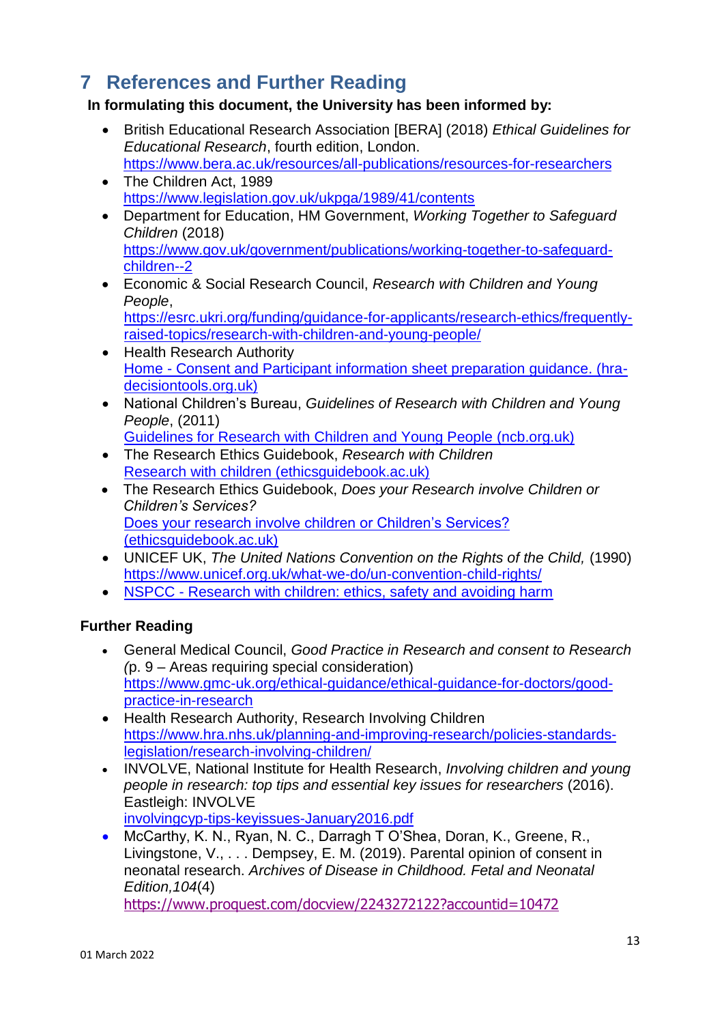# <span id="page-12-0"></span>**7 References and Further Reading**

### **In formulating this document, the University has been informed by:**

- British Educational Research Association [BERA] (2018) *Ethical Guidelines for Educational Research*, fourth edition, London. <https://www.bera.ac.uk/resources/all-publications/resources-for-researchers>
- The Children Act, 1989 <https://www.legislation.gov.uk/ukpga/1989/41/contents>
- Department for Education, HM Government, *Working Together to Safeguard Children* (2018) [https://www.gov.uk/government/publications/working-together-to-safeguard](https://www.gov.uk/government/publications/working-together-to-safeguard-children--2)[children--2](https://www.gov.uk/government/publications/working-together-to-safeguard-children--2)
- Economic & Social Research Council, *Research with Children and Young People*,

[https://esrc.ukri.org/funding/guidance-for-applicants/research-ethics/frequently](https://esrc.ukri.org/funding/guidance-for-applicants/research-ethics/frequently-raised-topics/research-with-children-and-young-people/)[raised-topics/research-with-children-and-young-people/](https://esrc.ukri.org/funding/guidance-for-applicants/research-ethics/frequently-raised-topics/research-with-children-and-young-people/)

- Health Research Authority Home - [Consent and Participant information sheet preparation guidance. \(hra](http://www.hra-decisiontools.org.uk/consent/index.html)[decisiontools.org.uk\)](http://www.hra-decisiontools.org.uk/consent/index.html)
- National Children's Bureau, *Guidelines of Research with Children and Young People*, (2011)

[Guidelines for Research with Children and Young People \(ncb.org.uk\)](https://www.ncb.org.uk/resources/all-resources/filter/bullying/guidelines-research-children-and-young-people)

- The Research Ethics Guidebook, *Research with Children* [Research with children \(ethicsguidebook.ac.uk\)](http://www.ethicsguidebook.ac.uk/Research-with-children-105.html)
- The Research Ethics Guidebook, *Does your Research involve Children or Children's Services?* [Does your research involve children or Children's Services?](http://www.ethicsguidebook.ac.uk/Does-your-research-involve-children-or-Children-s-Services-126.html)  [\(ethicsguidebook.ac.uk\)](http://www.ethicsguidebook.ac.uk/Does-your-research-involve-children-or-Children-s-Services-126.html)
- UNICEF UK, *The United Nations Convention on the Rights of the Child,* (1990) <https://www.unicef.org.uk/what-we-do/un-convention-child-rights/>
- NSPCC [Research with children: ethics, safety and avoiding harm](https://learning.nspcc.org.uk/research-resources/briefings/research-with-children-ethics-safety-avoiding-harm)

### **Further Reading**

- General Medical Council, *Good Practice in Research and consent to Research (*p. 9 – Areas requiring special consideration) [https://www.gmc-uk.org/ethical-guidance/ethical-guidance-for-doctors/good](https://www.gmc-uk.org/ethical-guidance/ethical-guidance-for-doctors/good-practice-in-research)[practice-in-research](https://www.gmc-uk.org/ethical-guidance/ethical-guidance-for-doctors/good-practice-in-research)
- Health Research Authority, Research Involving Children [https://www.hra.nhs.uk/planning-and-improving-research/policies-standards](https://www.hra.nhs.uk/planning-and-improving-research/policies-standards-legislation/research-involving-children/)[legislation/research-involving-children/](https://www.hra.nhs.uk/planning-and-improving-research/policies-standards-legislation/research-involving-children/)
- INVOLVE, National Institute for Health Research, *Involving children and young people in research: top tips and essential key issues for researchers* (2016). Eastleigh: INVOLVE
	- [involvingcyp-tips-keyissues-January2016.pdf](https://www.invo.org.uk/wp-content/uploads/2016/01/involvingcyp-tips-keyissues-January2016.pdf)
- McCarthy, K. N., Ryan, N. C., Darragh T O'Shea, Doran, K., Greene, R., Livingstone, V., . . . Dempsey, E. M. (2019). Parental opinion of consent in neonatal research. *Archives of Disease in Childhood. Fetal and Neonatal Edition,104*(4)

<https://www.proquest.com/docview/2243272122?accountid=10472>